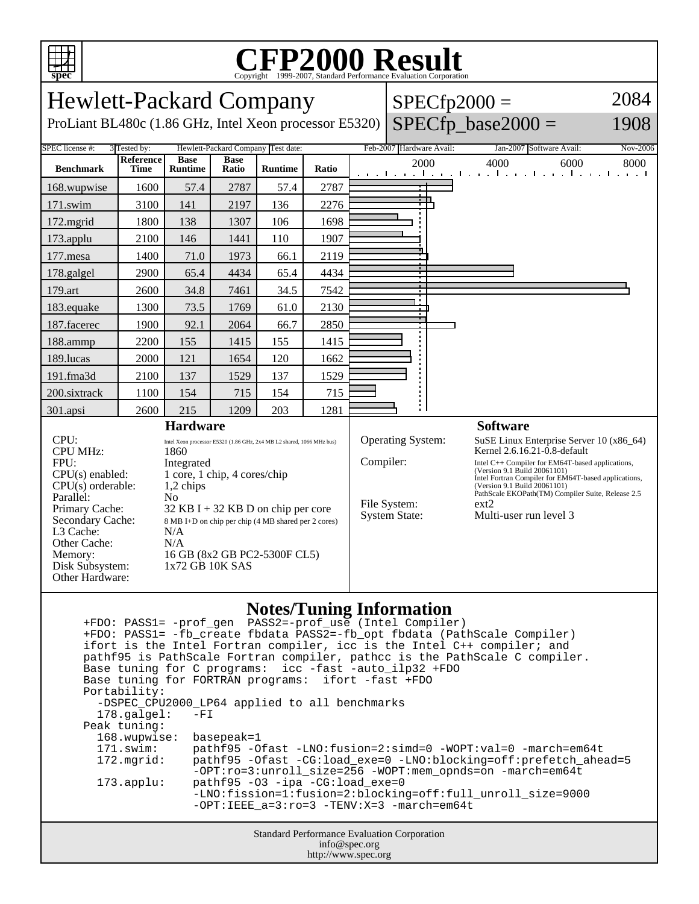

## **CFP2000 Result** Copyright ©1999-2007, Standard Performance Evaluation Corporation

| 2084<br><b>Hewlett-Packard Company</b><br>$SPECfp2000 =$<br>SPECfp_base2000 =<br>ProLiant BL480c (1.86 GHz, Intel Xeon processor E5320)<br>1908                                                                                                                                                                                                                                                                                                                                                                                          |             |                |       |                |                                                                                                                                                                                                                                                                                                                                                                                                                              |                 |                                  |  |                                                    |                  |
|------------------------------------------------------------------------------------------------------------------------------------------------------------------------------------------------------------------------------------------------------------------------------------------------------------------------------------------------------------------------------------------------------------------------------------------------------------------------------------------------------------------------------------------|-------------|----------------|-------|----------------|------------------------------------------------------------------------------------------------------------------------------------------------------------------------------------------------------------------------------------------------------------------------------------------------------------------------------------------------------------------------------------------------------------------------------|-----------------|----------------------------------|--|----------------------------------------------------|------------------|
| SPEC license #:<br>3 Tested by:<br>Hewlett-Packard Company Test date:<br><b>Reference</b><br><b>Base</b><br><b>Base</b>                                                                                                                                                                                                                                                                                                                                                                                                                  |             |                |       |                |                                                                                                                                                                                                                                                                                                                                                                                                                              |                 | Feb-2007 Hardware Avail:<br>2000 |  | Jan-2007 Software Avail:<br>4000<br>6000           | Nov-2006<br>8000 |
| <b>Benchmark</b>                                                                                                                                                                                                                                                                                                                                                                                                                                                                                                                         | <b>Time</b> | <b>Runtime</b> | Ratio | <b>Runtime</b> | Ratio                                                                                                                                                                                                                                                                                                                                                                                                                        |                 |                                  |  | المتقبط وتقبل وتقبط وتقبل وتقبل وتقبل وتقبل والمتق |                  |
| 168.wupwise                                                                                                                                                                                                                                                                                                                                                                                                                                                                                                                              | 1600        | 57.4           | 2787  | 57.4           | 2787                                                                                                                                                                                                                                                                                                                                                                                                                         |                 |                                  |  |                                                    |                  |
| 171.swim                                                                                                                                                                                                                                                                                                                                                                                                                                                                                                                                 | 3100        | 141            | 2197  | 136            | 2276                                                                                                                                                                                                                                                                                                                                                                                                                         |                 | $\mathbf{r}$                     |  |                                                    |                  |
| 172.mgrid                                                                                                                                                                                                                                                                                                                                                                                                                                                                                                                                | 1800        | 138            | 1307  | 106            | 1698                                                                                                                                                                                                                                                                                                                                                                                                                         |                 |                                  |  |                                                    |                  |
| 173.applu                                                                                                                                                                                                                                                                                                                                                                                                                                                                                                                                | 2100        | 146            | 1441  | 110            | 1907                                                                                                                                                                                                                                                                                                                                                                                                                         |                 |                                  |  |                                                    |                  |
| 177.mesa                                                                                                                                                                                                                                                                                                                                                                                                                                                                                                                                 | 1400        | 71.0           | 1973  | 66.1           | 2119                                                                                                                                                                                                                                                                                                                                                                                                                         |                 |                                  |  |                                                    |                  |
| 178.galgel                                                                                                                                                                                                                                                                                                                                                                                                                                                                                                                               | 2900        | 65.4           | 4434  | 65.4           | 4434                                                                                                                                                                                                                                                                                                                                                                                                                         |                 |                                  |  |                                                    |                  |
| 179.art                                                                                                                                                                                                                                                                                                                                                                                                                                                                                                                                  | 2600        | 34.8           | 7461  | 34.5           | 7542                                                                                                                                                                                                                                                                                                                                                                                                                         |                 |                                  |  |                                                    |                  |
| 183.equake                                                                                                                                                                                                                                                                                                                                                                                                                                                                                                                               | 1300        | 73.5           | 1769  | 61.0           | 2130                                                                                                                                                                                                                                                                                                                                                                                                                         |                 |                                  |  |                                                    |                  |
| 187.facerec                                                                                                                                                                                                                                                                                                                                                                                                                                                                                                                              | 1900        | 92.1           | 2064  | 66.7           | 2850                                                                                                                                                                                                                                                                                                                                                                                                                         |                 |                                  |  |                                                    |                  |
| 188.ammp                                                                                                                                                                                                                                                                                                                                                                                                                                                                                                                                 | 2200        | 155            | 1415  | 155            | 1415                                                                                                                                                                                                                                                                                                                                                                                                                         |                 |                                  |  |                                                    |                  |
| 189.lucas                                                                                                                                                                                                                                                                                                                                                                                                                                                                                                                                | 2000        | 121            | 1654  | 120            | 1662                                                                                                                                                                                                                                                                                                                                                                                                                         |                 |                                  |  |                                                    |                  |
| 191.fma3d                                                                                                                                                                                                                                                                                                                                                                                                                                                                                                                                | 2100        | 137            | 1529  | 137            | 1529                                                                                                                                                                                                                                                                                                                                                                                                                         |                 |                                  |  |                                                    |                  |
| 200.sixtrack                                                                                                                                                                                                                                                                                                                                                                                                                                                                                                                             | 1100        | 154            | 715   | 154            | 715                                                                                                                                                                                                                                                                                                                                                                                                                          |                 |                                  |  |                                                    |                  |
| 301.apsi                                                                                                                                                                                                                                                                                                                                                                                                                                                                                                                                 | 2600        | 215            | 1209  | 203            | 1281                                                                                                                                                                                                                                                                                                                                                                                                                         |                 |                                  |  |                                                    |                  |
| <b>Hardware</b>                                                                                                                                                                                                                                                                                                                                                                                                                                                                                                                          |             |                |       |                |                                                                                                                                                                                                                                                                                                                                                                                                                              | <b>Software</b> |                                  |  |                                                    |                  |
| CPU:<br>Intel Xeon processor E5320 (1.86 GHz, 2x4 MB L2 shared, 1066 MHz bus)<br><b>CPU MHz:</b><br>1860<br>FPU:<br>Integrated<br>1 core, 1 chip, 4 cores/chip<br>$CPU(s)$ enabled:<br>CPU(s) orderable:<br>1,2 chips<br>Parallel:<br>N <sub>o</sub><br>Primary Cache:<br>$32$ KB I + 32 KB D on chip per core<br>Secondary Cache:<br>8 MB I+D on chip per chip (4 MB shared per 2 cores)<br>L3 Cache:<br>N/A<br>Other Cache:<br>N/A<br>16 GB (8x2 GB PC2-5300F CL5)<br>Memory:<br>1x72 GB 10K SAS<br>Disk Subsystem:<br>Other Hardware: |             |                |       |                | <b>Operating System:</b><br>SuSE Linux Enterprise Server 10 (x86_64)<br>Kernel 2.6.16.21-0.8-default<br>Compiler:<br>Intel C++ Compiler for EM64T-based applications,<br>(Version 9.1 Build 20061101)<br>Intel Fortran Compiler for EM64T-based applications,<br>(Version 9.1 Build 20061101)<br>PathScale EKOPath(TM) Compiler Suite, Release 2.5<br>File System:<br>ext2<br><b>System State:</b><br>Multi-user run level 3 |                 |                                  |  |                                                    |                  |

## **Notes/Tuning Information**

Standard Performance Evaluation Corporation info@spec.org +FDO: PASS1= -prof\_gen PASS2=-prof\_use (Intel Compiler) +FDO: PASS1= -fb\_create fbdata PASS2=-fb\_opt fbdata (PathScale Compiler) ifort is the Intel Fortran compiler, icc is the Intel C++ compiler; and pathf95 is PathScale Fortran compiler, pathcc is the PathScale C compiler. Base tuning for C programs: icc -fast -auto\_ilp32 +FDO Base tuning for FORTRAN programs: ifort -fast +FDO Portability: -DSPEC\_CPU2000\_LP64 applied to all benchmarks<br>178.qalqel: -FI  $178.galgel:$  Peak tuning: 168.wupwise: basepeak=1 171.swim: pathf95 -Ofast -LNO:fusion=2:simd=0 -WOPT:val=0 -march=em64t 172.mgrid: pathf95 -Ofast -CG:load\_exe=0 -LNO:blocking=off:prefetch\_ahead=5 -OPT:ro=3:unroll\_size=256 -WOPT:mem\_opnds=on -march=em64t 173.applu: pathf95 -O3 -ipa -CG:load\_exe=0 -LNO:fission=1:fusion=2:blocking=off:full\_unroll\_size=9000 -OPT:IEEE\_a=3:ro=3 -TENV:X=3 -march=em64t

http://www.spec.org